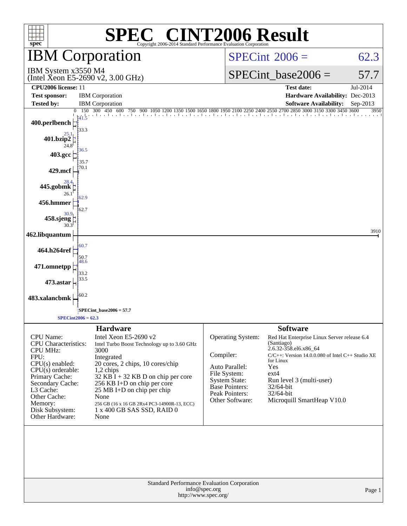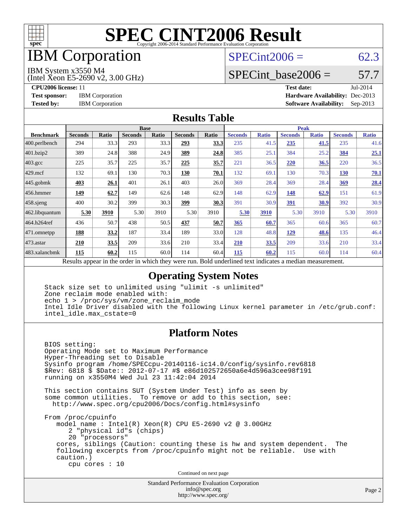

### IBM Corporation

#### $SPECint2006 = 62.3$  $SPECint2006 = 62.3$

IBM System x3550 M4

(Intel Xeon E5-2690 v2, 3.00 GHz)

SPECint base2006 =  $57.7$ 

**[CPU2006 license:](http://www.spec.org/auto/cpu2006/Docs/result-fields.html#CPU2006license)** 11 **[Test date:](http://www.spec.org/auto/cpu2006/Docs/result-fields.html#Testdate)** Jul-2014 **[Test sponsor:](http://www.spec.org/auto/cpu2006/Docs/result-fields.html#Testsponsor)** IBM Corporation **[Hardware Availability:](http://www.spec.org/auto/cpu2006/Docs/result-fields.html#HardwareAvailability)** Dec-2013 **[Tested by:](http://www.spec.org/auto/cpu2006/Docs/result-fields.html#Testedby)** IBM Corporation **[Software Availability:](http://www.spec.org/auto/cpu2006/Docs/result-fields.html#SoftwareAvailability)** Sep-2013

#### **[Results Table](http://www.spec.org/auto/cpu2006/Docs/result-fields.html#ResultsTable)**

|                    | <b>Base</b>              |              |                                                              |       |                |              | <b>Peak</b>                                         |              |                |              |                |              |
|--------------------|--------------------------|--------------|--------------------------------------------------------------|-------|----------------|--------------|-----------------------------------------------------|--------------|----------------|--------------|----------------|--------------|
| <b>Benchmark</b>   | <b>Seconds</b>           | <b>Ratio</b> | <b>Seconds</b>                                               | Ratio | <b>Seconds</b> | <b>Ratio</b> | <b>Seconds</b>                                      | <b>Ratio</b> | <b>Seconds</b> | <b>Ratio</b> | <b>Seconds</b> | <b>Ratio</b> |
| 400.perlbench      | 294                      | 33.3         | 293                                                          | 33.3  | 293            | 33.3         | 235                                                 | 41.5         | 235            | 41.5         | 235            | 41.6         |
| 401.bzip2          | 389                      | 24.8         | 388                                                          | 24.9  | 389            | 24.8         | 385                                                 | 25.1         | 384            | 25.2         | 384            | 25.1         |
| $403.\mathrm{gcc}$ | 225                      | 35.7         | 225                                                          | 35.7  | 225            | 35.7         | 221                                                 | 36.5         | 220            | 36.5         | 220            | 36.5         |
| $429$ .mcf         | 132                      | 69.1         | 130                                                          | 70.3  | 130            | 70.1         | 132                                                 | 69.1         | 130            | 70.3         | 130            | 70.1         |
| $445$ .gobmk       | 403                      | 26.1         | 401                                                          | 26.1  | 403            | 26.0         | 369                                                 | 28.4         | 369            | 28.4         | 369            | 28.4         |
| $456.$ hmmer       | 149                      | 62.7         | 149                                                          | 62.6  | 148            | 62.9         | 148                                                 | 62.9         | 148            | 62.9         | 151            | 61.9         |
| $458$ .sjeng       | 400                      | 30.2         | 399                                                          | 30.3  | <u>399</u>     | 30.3         | 391                                                 | 30.9         | <u>391</u>     | 30.9         | 392            | 30.9         |
| 462.libquantum     | 5.30                     | 3910         | 5.30                                                         | 3910  | 5.30           | 3910         | 5.30                                                | 3910         | 5.30           | 3910         | 5.30           | 3910         |
| 464.h264ref        | 436                      | 50.7         | 438                                                          | 50.5  | 437            | 50.7         | 365                                                 | 60.7         | 365            | 60.6         | 365            | 60.7         |
| 471.omnetpp        | 188                      | 33.2         | 187                                                          | 33.4  | 189            | 33.0         | 128                                                 | 48.8         | <u>129</u>     | 48.6         | 135            | 46.4         |
| $473$ . astar      | 210                      | 33.5         | 209                                                          | 33.6  | 210            | 33.4         | 210                                                 | 33.5         | 209            | 33.6         | 210            | 33.4         |
| 483.xalancbmk      | 115                      | 60.2         | 115                                                          | 60.0  | 114            | 60.4         | 115                                                 | 60.2         | 115            | 60.0         | 114            | 60.4         |
|                    | $D = 14.2$ and $D = 2.3$ |              | المتحمل ومتحدث بجحافة والمكافئة وبالمستر والمستراة والارامية |       |                |              | Deld and called to contact the control of the disco |              |                |              |                |              |

Results appear in the [order in which they were run.](http://www.spec.org/auto/cpu2006/Docs/result-fields.html#RunOrder) Bold underlined text [indicates a median measurement.](http://www.spec.org/auto/cpu2006/Docs/result-fields.html#Median)

#### **[Operating System Notes](http://www.spec.org/auto/cpu2006/Docs/result-fields.html#OperatingSystemNotes)**

 Stack size set to unlimited using "ulimit -s unlimited" Zone reclaim mode enabled with: echo 1 > /proc/sys/vm/zone\_reclaim\_mode Intel Idle Driver disabled with the following Linux kernel parameter in /etc/grub.conf: intel\_idle.max\_cstate=0

#### **[Platform Notes](http://www.spec.org/auto/cpu2006/Docs/result-fields.html#PlatformNotes)**

 BIOS setting: Operating Mode set to Maximum Performance Hyper-Threading set to Disable Sysinfo program /home/SPECcpu-20140116-ic14.0/config/sysinfo.rev6818 \$Rev: 6818 \$ \$Date:: 2012-07-17 #\$ e86d102572650a6e4d596a3cee98f191 running on x3550M4 Wed Jul 23 11:42:04 2014

 This section contains SUT (System Under Test) info as seen by some common utilities. To remove or add to this section, see: <http://www.spec.org/cpu2006/Docs/config.html#sysinfo>

 From /proc/cpuinfo model name : Intel(R) Xeon(R) CPU E5-2690 v2 @ 3.00GHz 2 "physical id"s (chips) 20 "processors" cores, siblings (Caution: counting these is hw and system dependent. The following excerpts from /proc/cpuinfo might not be reliable. Use with caution.) cpu cores : 10

Continued on next page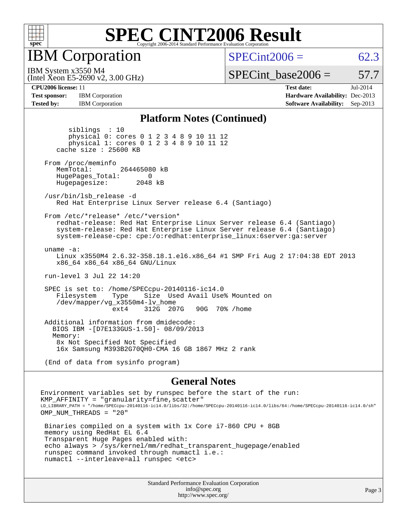

IBM Corporation

 $SPECint2006 = 62.3$  $SPECint2006 = 62.3$ 

(Intel Xeon E5-2690 v2, 3.00 GHz) IBM System x3550 M4

SPECint base2006 =  $57.7$ 

**[CPU2006 license:](http://www.spec.org/auto/cpu2006/Docs/result-fields.html#CPU2006license)** 11 **[Test date:](http://www.spec.org/auto/cpu2006/Docs/result-fields.html#Testdate)** Jul-2014 **[Test sponsor:](http://www.spec.org/auto/cpu2006/Docs/result-fields.html#Testsponsor)** IBM Corporation **[Hardware Availability:](http://www.spec.org/auto/cpu2006/Docs/result-fields.html#HardwareAvailability)** Dec-2013 **[Tested by:](http://www.spec.org/auto/cpu2006/Docs/result-fields.html#Testedby)** IBM Corporation **[Software Availability:](http://www.spec.org/auto/cpu2006/Docs/result-fields.html#SoftwareAvailability)** Sep-2013

#### **[Platform Notes \(Continued\)](http://www.spec.org/auto/cpu2006/Docs/result-fields.html#PlatformNotes)**

 siblings : 10 physical 0: cores 0 1 2 3 4 8 9 10 11 12 physical 1: cores 0 1 2 3 4 8 9 10 11 12 cache size : 25600 KB From /proc/meminfo MemTotal: 264465080 kB HugePages\_Total: 0<br>Hugepagesize: 2048 kB Hugepagesize: /usr/bin/lsb\_release -d Red Hat Enterprise Linux Server release 6.4 (Santiago) From /etc/\*release\* /etc/\*version\* redhat-release: Red Hat Enterprise Linux Server release 6.4 (Santiago) system-release: Red Hat Enterprise Linux Server release 6.4 (Santiago) system-release-cpe: cpe:/o:redhat:enterprise\_linux:6server:ga:server uname -a: Linux x3550M4 2.6.32-358.18.1.el6.x86\_64 #1 SMP Fri Aug 2 17:04:38 EDT 2013 x86\_64 x86\_64 x86\_64 GNU/Linux run-level 3 Jul 22 14:20 SPEC is set to: /home/SPECcpu-20140116-ic14.0 Size Used Avail Use% Mounted on /dev/mapper/vg\_x3550m4-lv\_home ext4 312G 207G 90G 70% /home Additional information from dmidecode: BIOS IBM -[D7E133GUS-1.50]- 08/09/2013 Memory: 8x Not Specified Not Specified 16x Samsung M393B2G70QH0-CMA 16 GB 1867 MHz 2 rank

(End of data from sysinfo program)

#### **[General Notes](http://www.spec.org/auto/cpu2006/Docs/result-fields.html#GeneralNotes)**

Environment variables set by runspec before the start of the run:  $KMP$  AFFINITY = "granularity=fine, scatter" LD\_LIBRARY\_PATH = "/home/SPECcpu-20140116-ic14.0/libs/32:/home/SPECcpu-20140116-ic14.0/libs/64:/home/SPECcpu-20140116-ic14.0/sh" OMP\_NUM\_THREADS = "20" Binaries compiled on a system with 1x Core i7-860 CPU + 8GB memory using RedHat EL 6.4 Transparent Huge Pages enabled with: echo always > /sys/kernel/mm/redhat\_transparent\_hugepage/enabled runspec command invoked through numactl i.e.:

numactl --interleave=all runspec <etc>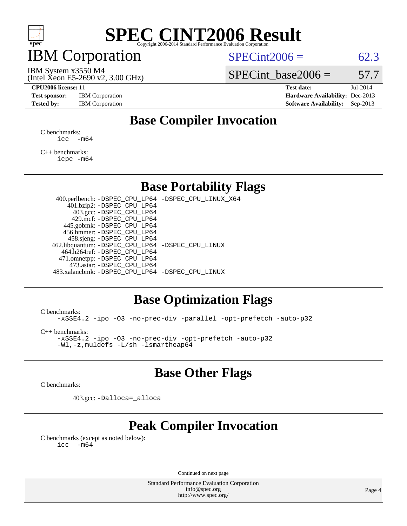

### IBM Corporation

 $SPECint2006 = 62.3$  $SPECint2006 = 62.3$ 

(Intel Xeon E5-2690 v2, 3.00 GHz) IBM System x3550 M4

SPECint base2006 =  $57.7$ 

**[Test sponsor:](http://www.spec.org/auto/cpu2006/Docs/result-fields.html#Testsponsor)** IBM Corporation **[Hardware Availability:](http://www.spec.org/auto/cpu2006/Docs/result-fields.html#HardwareAvailability)** Dec-2013

**[CPU2006 license:](http://www.spec.org/auto/cpu2006/Docs/result-fields.html#CPU2006license)** 11 **[Test date:](http://www.spec.org/auto/cpu2006/Docs/result-fields.html#Testdate)** Jul-2014 **[Tested by:](http://www.spec.org/auto/cpu2006/Docs/result-fields.html#Testedby)** IBM Corporation **[Software Availability:](http://www.spec.org/auto/cpu2006/Docs/result-fields.html#SoftwareAvailability)** Sep-2013

### **[Base Compiler Invocation](http://www.spec.org/auto/cpu2006/Docs/result-fields.html#BaseCompilerInvocation)**

[C benchmarks](http://www.spec.org/auto/cpu2006/Docs/result-fields.html#Cbenchmarks):  $\text{icc}$   $-\text{m64}$ 

[C++ benchmarks:](http://www.spec.org/auto/cpu2006/Docs/result-fields.html#CXXbenchmarks) [icpc -m64](http://www.spec.org/cpu2006/results/res2014q3/cpu2006-20140727-30631.flags.html#user_CXXbase_intel_icpc_64bit_fc66a5337ce925472a5c54ad6a0de310)

#### **[Base Portability Flags](http://www.spec.org/auto/cpu2006/Docs/result-fields.html#BasePortabilityFlags)**

 400.perlbench: [-DSPEC\\_CPU\\_LP64](http://www.spec.org/cpu2006/results/res2014q3/cpu2006-20140727-30631.flags.html#b400.perlbench_basePORTABILITY_DSPEC_CPU_LP64) [-DSPEC\\_CPU\\_LINUX\\_X64](http://www.spec.org/cpu2006/results/res2014q3/cpu2006-20140727-30631.flags.html#b400.perlbench_baseCPORTABILITY_DSPEC_CPU_LINUX_X64) 401.bzip2: [-DSPEC\\_CPU\\_LP64](http://www.spec.org/cpu2006/results/res2014q3/cpu2006-20140727-30631.flags.html#suite_basePORTABILITY401_bzip2_DSPEC_CPU_LP64) 403.gcc: [-DSPEC\\_CPU\\_LP64](http://www.spec.org/cpu2006/results/res2014q3/cpu2006-20140727-30631.flags.html#suite_basePORTABILITY403_gcc_DSPEC_CPU_LP64) 429.mcf: [-DSPEC\\_CPU\\_LP64](http://www.spec.org/cpu2006/results/res2014q3/cpu2006-20140727-30631.flags.html#suite_basePORTABILITY429_mcf_DSPEC_CPU_LP64) 445.gobmk: [-DSPEC\\_CPU\\_LP64](http://www.spec.org/cpu2006/results/res2014q3/cpu2006-20140727-30631.flags.html#suite_basePORTABILITY445_gobmk_DSPEC_CPU_LP64) 456.hmmer: [-DSPEC\\_CPU\\_LP64](http://www.spec.org/cpu2006/results/res2014q3/cpu2006-20140727-30631.flags.html#suite_basePORTABILITY456_hmmer_DSPEC_CPU_LP64) 458.sjeng: [-DSPEC\\_CPU\\_LP64](http://www.spec.org/cpu2006/results/res2014q3/cpu2006-20140727-30631.flags.html#suite_basePORTABILITY458_sjeng_DSPEC_CPU_LP64) 462.libquantum: [-DSPEC\\_CPU\\_LP64](http://www.spec.org/cpu2006/results/res2014q3/cpu2006-20140727-30631.flags.html#suite_basePORTABILITY462_libquantum_DSPEC_CPU_LP64) [-DSPEC\\_CPU\\_LINUX](http://www.spec.org/cpu2006/results/res2014q3/cpu2006-20140727-30631.flags.html#b462.libquantum_baseCPORTABILITY_DSPEC_CPU_LINUX) 464.h264ref: [-DSPEC\\_CPU\\_LP64](http://www.spec.org/cpu2006/results/res2014q3/cpu2006-20140727-30631.flags.html#suite_basePORTABILITY464_h264ref_DSPEC_CPU_LP64) 471.omnetpp: [-DSPEC\\_CPU\\_LP64](http://www.spec.org/cpu2006/results/res2014q3/cpu2006-20140727-30631.flags.html#suite_basePORTABILITY471_omnetpp_DSPEC_CPU_LP64) 473.astar: [-DSPEC\\_CPU\\_LP64](http://www.spec.org/cpu2006/results/res2014q3/cpu2006-20140727-30631.flags.html#suite_basePORTABILITY473_astar_DSPEC_CPU_LP64) 483.xalancbmk: [-DSPEC\\_CPU\\_LP64](http://www.spec.org/cpu2006/results/res2014q3/cpu2006-20140727-30631.flags.html#suite_basePORTABILITY483_xalancbmk_DSPEC_CPU_LP64) [-DSPEC\\_CPU\\_LINUX](http://www.spec.org/cpu2006/results/res2014q3/cpu2006-20140727-30631.flags.html#b483.xalancbmk_baseCXXPORTABILITY_DSPEC_CPU_LINUX)

#### **[Base Optimization Flags](http://www.spec.org/auto/cpu2006/Docs/result-fields.html#BaseOptimizationFlags)**

[C benchmarks](http://www.spec.org/auto/cpu2006/Docs/result-fields.html#Cbenchmarks):

[-xSSE4.2](http://www.spec.org/cpu2006/results/res2014q3/cpu2006-20140727-30631.flags.html#user_CCbase_f-xSSE42_f91528193cf0b216347adb8b939d4107) [-ipo](http://www.spec.org/cpu2006/results/res2014q3/cpu2006-20140727-30631.flags.html#user_CCbase_f-ipo) [-O3](http://www.spec.org/cpu2006/results/res2014q3/cpu2006-20140727-30631.flags.html#user_CCbase_f-O3) [-no-prec-div](http://www.spec.org/cpu2006/results/res2014q3/cpu2006-20140727-30631.flags.html#user_CCbase_f-no-prec-div) [-parallel](http://www.spec.org/cpu2006/results/res2014q3/cpu2006-20140727-30631.flags.html#user_CCbase_f-parallel) [-opt-prefetch](http://www.spec.org/cpu2006/results/res2014q3/cpu2006-20140727-30631.flags.html#user_CCbase_f-opt-prefetch) [-auto-p32](http://www.spec.org/cpu2006/results/res2014q3/cpu2006-20140727-30631.flags.html#user_CCbase_f-auto-p32)

[C++ benchmarks:](http://www.spec.org/auto/cpu2006/Docs/result-fields.html#CXXbenchmarks)

[-xSSE4.2](http://www.spec.org/cpu2006/results/res2014q3/cpu2006-20140727-30631.flags.html#user_CXXbase_f-xSSE42_f91528193cf0b216347adb8b939d4107) [-ipo](http://www.spec.org/cpu2006/results/res2014q3/cpu2006-20140727-30631.flags.html#user_CXXbase_f-ipo) [-O3](http://www.spec.org/cpu2006/results/res2014q3/cpu2006-20140727-30631.flags.html#user_CXXbase_f-O3) [-no-prec-div](http://www.spec.org/cpu2006/results/res2014q3/cpu2006-20140727-30631.flags.html#user_CXXbase_f-no-prec-div) [-opt-prefetch](http://www.spec.org/cpu2006/results/res2014q3/cpu2006-20140727-30631.flags.html#user_CXXbase_f-opt-prefetch) [-auto-p32](http://www.spec.org/cpu2006/results/res2014q3/cpu2006-20140727-30631.flags.html#user_CXXbase_f-auto-p32) [-Wl,-z,muldefs](http://www.spec.org/cpu2006/results/res2014q3/cpu2006-20140727-30631.flags.html#user_CXXbase_link_force_multiple1_74079c344b956b9658436fd1b6dd3a8a) [-L/sh -lsmartheap64](http://www.spec.org/cpu2006/results/res2014q3/cpu2006-20140727-30631.flags.html#user_CXXbase_SmartHeap64_ed4ef857ce90951921efb0d91eb88472)

#### **[Base Other Flags](http://www.spec.org/auto/cpu2006/Docs/result-fields.html#BaseOtherFlags)**

[C benchmarks](http://www.spec.org/auto/cpu2006/Docs/result-fields.html#Cbenchmarks):

403.gcc: [-Dalloca=\\_alloca](http://www.spec.org/cpu2006/results/res2014q3/cpu2006-20140727-30631.flags.html#b403.gcc_baseEXTRA_CFLAGS_Dalloca_be3056838c12de2578596ca5467af7f3)

### **[Peak Compiler Invocation](http://www.spec.org/auto/cpu2006/Docs/result-fields.html#PeakCompilerInvocation)**

[C benchmarks \(except as noted below\)](http://www.spec.org/auto/cpu2006/Docs/result-fields.html#Cbenchmarksexceptasnotedbelow):  $\text{icc}$  -m64

Continued on next page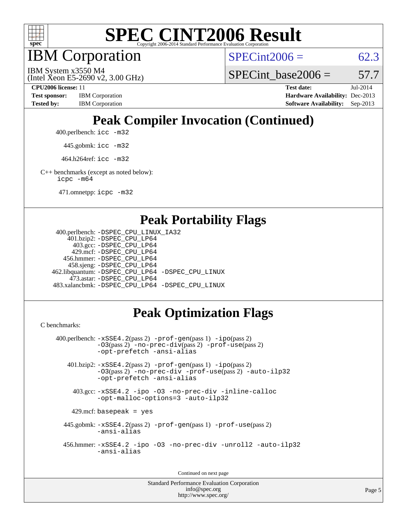

IBM Corporation

 $SPECint2006 = 62.3$  $SPECint2006 = 62.3$ 

(Intel Xeon E5-2690 v2, 3.00 GHz) IBM System x3550 M4

SPECint base2006 =  $57.7$ 

**[CPU2006 license:](http://www.spec.org/auto/cpu2006/Docs/result-fields.html#CPU2006license)** 11 **[Test date:](http://www.spec.org/auto/cpu2006/Docs/result-fields.html#Testdate)** Jul-2014 **[Test sponsor:](http://www.spec.org/auto/cpu2006/Docs/result-fields.html#Testsponsor)** IBM Corporation **[Hardware Availability:](http://www.spec.org/auto/cpu2006/Docs/result-fields.html#HardwareAvailability)** Dec-2013 [Tested by:](http://www.spec.org/auto/cpu2006/Docs/result-fields.html#Testedby) IBM Corporation **[Software Availability:](http://www.spec.org/auto/cpu2006/Docs/result-fields.html#SoftwareAvailability)** Sep-2013

# **[Peak Compiler Invocation \(Continued\)](http://www.spec.org/auto/cpu2006/Docs/result-fields.html#PeakCompilerInvocation)**

400.perlbench: [icc -m32](http://www.spec.org/cpu2006/results/res2014q3/cpu2006-20140727-30631.flags.html#user_peakCCLD400_perlbench_intel_icc_a6a621f8d50482236b970c6ac5f55f93)

445.gobmk: [icc -m32](http://www.spec.org/cpu2006/results/res2014q3/cpu2006-20140727-30631.flags.html#user_peakCCLD445_gobmk_intel_icc_a6a621f8d50482236b970c6ac5f55f93)

464.h264ref: [icc -m32](http://www.spec.org/cpu2006/results/res2014q3/cpu2006-20140727-30631.flags.html#user_peakCCLD464_h264ref_intel_icc_a6a621f8d50482236b970c6ac5f55f93)

[C++ benchmarks \(except as noted below\):](http://www.spec.org/auto/cpu2006/Docs/result-fields.html#CXXbenchmarksexceptasnotedbelow) [icpc -m64](http://www.spec.org/cpu2006/results/res2014q3/cpu2006-20140727-30631.flags.html#user_CXXpeak_intel_icpc_64bit_fc66a5337ce925472a5c54ad6a0de310)

471.omnetpp: [icpc -m32](http://www.spec.org/cpu2006/results/res2014q3/cpu2006-20140727-30631.flags.html#user_peakCXXLD471_omnetpp_intel_icpc_4e5a5ef1a53fd332b3c49e69c3330699)

#### **[Peak Portability Flags](http://www.spec.org/auto/cpu2006/Docs/result-fields.html#PeakPortabilityFlags)**

```
 400.perlbench: -DSPEC_CPU_LINUX_IA32
    401.bzip2: -DSPEC_CPU_LP64
      403.gcc: -DSPEC_CPU_LP64
     429.mcf: -DSPEC_CPU_LP64
   456.hmmer: -DSPEC_CPU_LP64
    458.sjeng: -DSPEC_CPU_LP64
462.libquantum: -DSPEC_CPU_LP64 -DSPEC_CPU_LINUX
     473.astar: -DSPEC_CPU_LP64
483.xalancbmk: -DSPEC_CPU_LP64 -DSPEC_CPU_LINUX
```
## **[Peak Optimization Flags](http://www.spec.org/auto/cpu2006/Docs/result-fields.html#PeakOptimizationFlags)**

[C benchmarks](http://www.spec.org/auto/cpu2006/Docs/result-fields.html#Cbenchmarks):

```
 400.perlbench: -xSSE4.2(pass 2) -prof-gen(pass 1) -ipo(pass 2)
           -O3(pass 2) -no-prec-div(pass 2) -prof-use(pass 2)
          -opt-prefetch -ansi-alias
   401.bzip2: -xSSE4.2(pass 2) -prof-gen(pass 1) -ipo(pass 2)
           -O3(pass 2) -no-prec-div -prof-use(pass 2) -auto-ilp32
           -opt-prefetch -ansi-alias
    403.gcc: -xSSE4.2 -ipo -O3 -no-prec-div -inline-calloc
           -opt-malloc-options=3 -auto-ilp32
   429.mcf: basepeak = yes
  445.gobmk: -xSSE4.2(pass 2) -prof-gen(pass 1) -prof-use(pass 2)
           -ansi-alias
  456.hmmer: -xSSE4.2 -ipo -O3 -no-prec-div -unroll2 -auto-ilp32
           -ansi-alias
```
Continued on next page